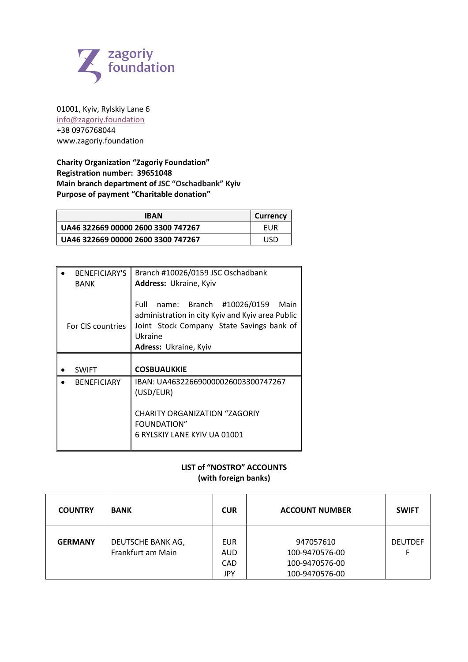

01001, Kyiv, Rylskiy Lane 6 info@zagoriy.foundation +38 0976768044 www.zagoriy.foundation

**Charity Organization "Zagoriy Foundation" Registration number: 39651048 Main branch department of JSC "Oschadbank" Kyiv Purpose of payment "Charitable donation"**

| <b>IBAN</b>                          | <b>Currency</b> |
|--------------------------------------|-----------------|
| l UA46 322669 00000 2600 3300 747267 | EUR             |
| l UA46 322669 00000 2600 3300 747267 | USD             |

| <b>BENEFICIARY'S</b> | Branch #10026/0159 JSC Oschadbank                                                                                                                                             |  |  |
|----------------------|-------------------------------------------------------------------------------------------------------------------------------------------------------------------------------|--|--|
| <b>BANK</b>          | Address: Ukraine, Kyiv                                                                                                                                                        |  |  |
| For CIS countries    | name: Branch #10026/0159<br>Full<br>Main<br>administration in city Kyiv and Kyiv area Public<br>Joint Stock Company State Savings bank of<br>Ukraine<br>Adress: Ukraine, Kyiv |  |  |
|                      |                                                                                                                                                                               |  |  |
| <b>SWIFT</b>         | <b>COSBUAUKKIE</b>                                                                                                                                                            |  |  |
| <b>BENEFICIARY</b>   | IBAN: UA463226690000026003300747267<br>(USD/EUR)                                                                                                                              |  |  |
|                      | <b>CHARITY ORGANIZATION "ZAGORIY</b><br><b>FOUNDATION"</b><br>6 RYLSKIY LANE KYIV UA 01001                                                                                    |  |  |

## **LIST of "NOSTRO" ACCOUNTS (with foreign banks)**

| <b>COUNTRY</b> | <b>BANK</b>                            | <b>CUR</b>                       | <b>ACCOUNT NUMBER</b>                                           | <b>SWIFT</b>   |
|----------------|----------------------------------------|----------------------------------|-----------------------------------------------------------------|----------------|
| <b>GERMANY</b> | DEUTSCHE BANK AG,<br>Frankfurt am Main | EUR.<br><b>AUD</b><br>CAD<br>JPY | 947057610<br>100-9470576-00<br>100-9470576-00<br>100-9470576-00 | <b>DEUTDEF</b> |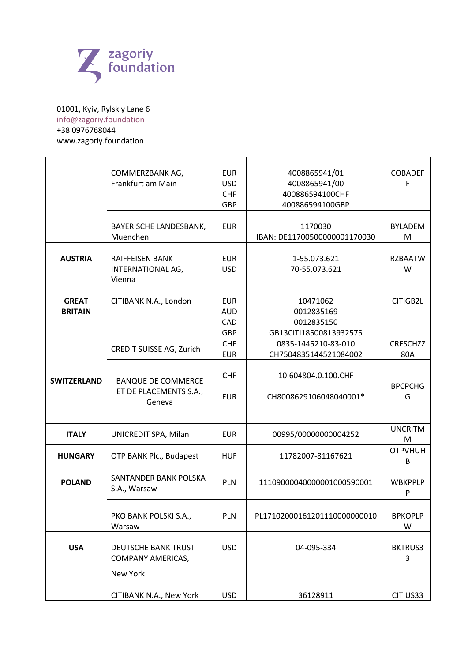

## 01001, Kyiv, Rylskiy Lane 6 info@zagoriy.foundation +38 0976768044 www.zagoriy.foundation

|                                | COMMERZBANK AG,<br>Frankfurt am Main                          | <b>EUR</b><br><b>USD</b><br><b>CHF</b><br><b>GBP</b> | 4008865941/01<br>4008865941/00<br>400886594100CHF<br>400886594100GBP | <b>COBADEF</b><br>F    |
|--------------------------------|---------------------------------------------------------------|------------------------------------------------------|----------------------------------------------------------------------|------------------------|
|                                | BAYERISCHE LANDESBANK,<br>Muenchen                            | <b>EUR</b>                                           | 1170030<br>IBAN: DE11700500000001170030                              | <b>BYLADEM</b><br>M    |
| <b>AUSTRIA</b>                 | <b>RAIFFEISEN BANK</b><br>INTERNATIONAL AG,<br>Vienna         | <b>EUR</b><br><b>USD</b>                             | 1-55.073.621<br>70-55.073.621                                        | <b>RZBAATW</b><br>W    |
| <b>GREAT</b><br><b>BRITAIN</b> | CITIBANK N.A., London                                         | <b>EUR</b><br><b>AUD</b><br>CAD<br><b>GBP</b>        | 10471062<br>0012835169<br>0012835150<br>GB13CITI18500813932575       | CITIGB2L               |
|                                | <b>CREDIT SUISSE AG, Zurich</b>                               | <b>CHF</b><br><b>EUR</b>                             | 0835-1445210-83-010<br>CH7504835144521084002                         | <b>CRESCHZZ</b><br>80A |
| <b>SWITZERLAND</b>             | <b>BANQUE DE COMMERCE</b><br>ET DE PLACEMENTS S.A.,<br>Geneva | <b>CHF</b><br><b>EUR</b>                             | 10.604804.0.100.CHF<br>CH8008629106048040001*                        | <b>BPCPCHG</b><br>G    |
| <b>ITALY</b>                   | UNICREDIT SPA, Milan                                          | <b>EUR</b>                                           | 00995/00000000004252                                                 | <b>UNCRITM</b><br>M    |
| <b>HUNGARY</b>                 | OTP BANK Plc., Budapest                                       | <b>HUF</b>                                           | 11782007-81167621                                                    | <b>OTPVHUH</b><br>B    |
| <b>POLAND</b>                  | SANTANDER BANK POLSKA<br>S.A., Warsaw                         | <b>PLN</b>                                           | 11109000040000001000590001                                           | <b>WBKPPLP</b><br>P    |
|                                | PKO BANK POLSKI S.A.,<br>Warsaw                               | PLN                                                  | PL17102000161201110000000010                                         | <b>BPKOPLP</b><br>W    |
| <b>USA</b>                     | DEUTSCHE BANK TRUST<br><b>COMPANY AMERICAS,</b><br>New York   | <b>USD</b>                                           | 04-095-334                                                           | <b>BKTRUS3</b><br>3    |
|                                | CITIBANK N.A., New York                                       | <b>USD</b>                                           | 36128911                                                             | CITIUS33               |